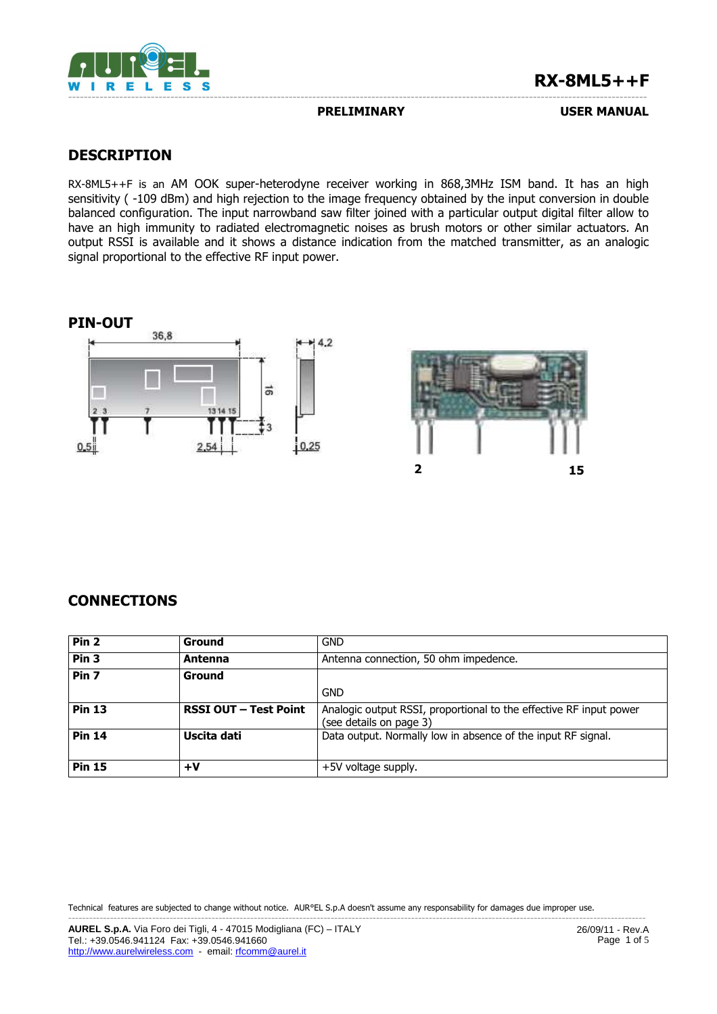

## **RX-8ML5++F**

### **PRELIMINARY USER MANUAL**

## **DESCRIPTION**

RX-8ML5++F is an AM OOK super-heterodyne receiver working in 868,3MHz ISM band. It has an high sensitivity (-109 dBm) and high rejection to the image frequency obtained by the input conversion in double balanced configuration. The input narrowband saw filter joined with a particular output digital filter allow to have an high immunity to radiated electromagnetic noises as brush motors or other similar actuators. An output RSSI is available and it shows a distance indication from the matched transmitter, as an analogic signal proportional to the effective RF input power.

## **PIN-OUT**





## **CONNECTIONS**

| Pin <sub>2</sub> | Ground                       | <b>GND</b>                                                                                    |  |  |  |
|------------------|------------------------------|-----------------------------------------------------------------------------------------------|--|--|--|
| Pin <sub>3</sub> | Antenna                      | Antenna connection, 50 ohm impedence.                                                         |  |  |  |
| Pin <sub>7</sub> | Ground                       |                                                                                               |  |  |  |
|                  |                              | GND                                                                                           |  |  |  |
| <b>Pin 13</b>    | <b>RSSI OUT - Test Point</b> | Analogic output RSSI, proportional to the effective RF input power<br>(see details on page 3) |  |  |  |
| <b>Pin 14</b>    | Uscita dati                  | Data output. Normally low in absence of the input RF signal.                                  |  |  |  |
| <b>Pin 15</b>    | $+V$                         | +5V voltage supply.                                                                           |  |  |  |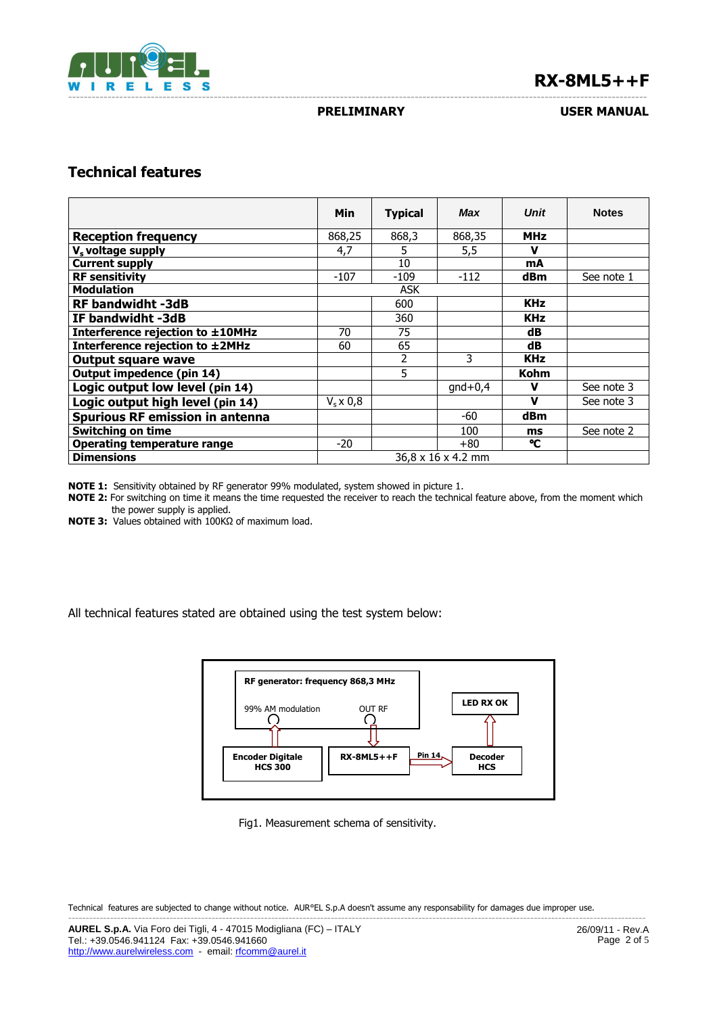

# **RX-8ML5++F**

### **PRELIMINARY USER MANUAL**

## **Technical features**

|                                        | Min                            | <b>Typical</b> | Max       | <b>Unit</b> | <b>Notes</b> |
|----------------------------------------|--------------------------------|----------------|-----------|-------------|--------------|
| <b>Reception frequency</b>             | 868,25                         | 868,3          | 868,35    | <b>MHz</b>  |              |
| V <sub>s</sub> voltage supply          | 4,7                            | 5              | 5,5       | ν           |              |
| <b>Current supply</b>                  |                                | 10             |           | mA          |              |
| <b>RF sensitivity</b>                  | $-107$                         | $-109$         | $-112$    | dBm         | See note 1   |
| <b>Modulation</b>                      | <b>ASK</b>                     |                |           |             |              |
| <b>RF bandwidht -3dB</b>               |                                | 600            |           | <b>KHz</b>  |              |
| IF bandwidht -3dB                      |                                | 360            |           | <b>KHz</b>  |              |
| Interference rejection to ±10MHz       | 70                             | 75             |           | dB          |              |
| Interference rejection to ±2MHz        | 60                             | 65             |           | dB          |              |
| <b>Output square wave</b>              |                                | 2              | 3         | <b>KHz</b>  |              |
| Output impedence (pin 14)              |                                | 5              |           | Kohm        |              |
| Logic output low level (pin 14)        |                                |                | $qnd+0,4$ | v           | See note 3   |
| Logic output high level (pin 14)       | $Vs \times 0.8$                |                |           | $\mathbf v$ | See note 3   |
| <b>Spurious RF emission in antenna</b> |                                |                | -60       | <b>dBm</b>  |              |
| <b>Switching on time</b>               |                                |                | 100       | ms          | See note 2   |
| <b>Operating temperature range</b>     | $-20$                          |                | $+80$     | ۰c          |              |
| <b>Dimensions</b>                      | $36.8 \times 16 \times 4.2$ mm |                |           |             |              |

**NOTE 1:** Sensitivity obtained by RF generator 99% modulated, system showed in picture 1.

**NOTE 2:** For switching on time it means the time requested the receiver to reach the technical feature above, from the moment which the power supply is applied.

**NOTE 3:** Values obtained with 100KΩ of maximum load.

All technical features stated are obtained using the test system below:



Fig1. Measurement schema of sensitivity.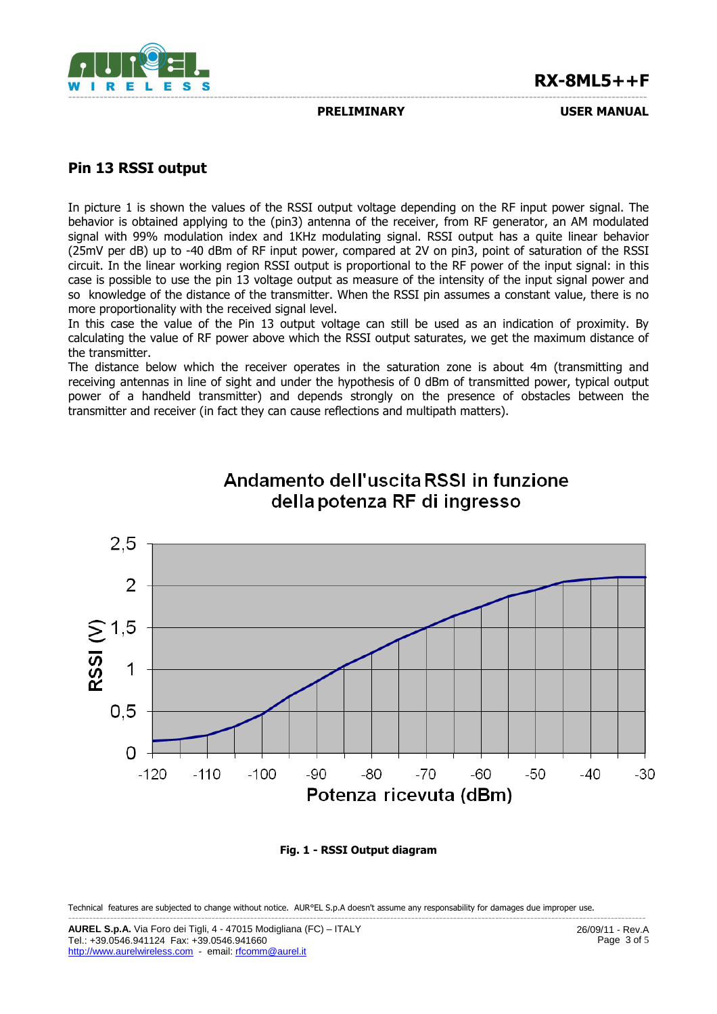

## **RX-8ML5++F**

**PRELIMINARY USER MANUAL** 

## **Pin 13 RSSI output**

In picture 1 is shown the values of the RSSI output voltage depending on the RF input power signal. The behavior is obtained applying to the (pin3) antenna of the receiver, from RF generator, an AM modulated signal with 99% modulation index and 1KHz modulating signal. RSSI output has a quite linear behavior (25mV per dB) up to -40 dBm of RF input power, compared at 2V on pin3, point of saturation of the RSSI circuit. In the linear working region RSSI output is proportional to the RF power of the input signal: in this case is possible to use the pin 13 voltage output as measure of the intensity of the input signal power and so knowledge of the distance of the transmitter. When the RSSI pin assumes a constant value, there is no more proportionality with the received signal level.

In this case the value of the Pin 13 output voltage can still be used as an indication of proximity. By calculating the value of RF power above which the RSSI output saturates, we get the maximum distance of the transmitter.

The distance below which the receiver operates in the saturation zone is about 4m (transmitting and receiving antennas in line of sight and under the hypothesis of 0 dBm of transmitted power, typical output power of a handheld transmitter) and depends strongly on the presence of obstacles between the transmitter and receiver (in fact they can cause reflections and multipath matters).



# Andamento dell'uscita RSSI in funzione della potenza RF di ingresso

**Fig. 1 - RSSI Output diagram**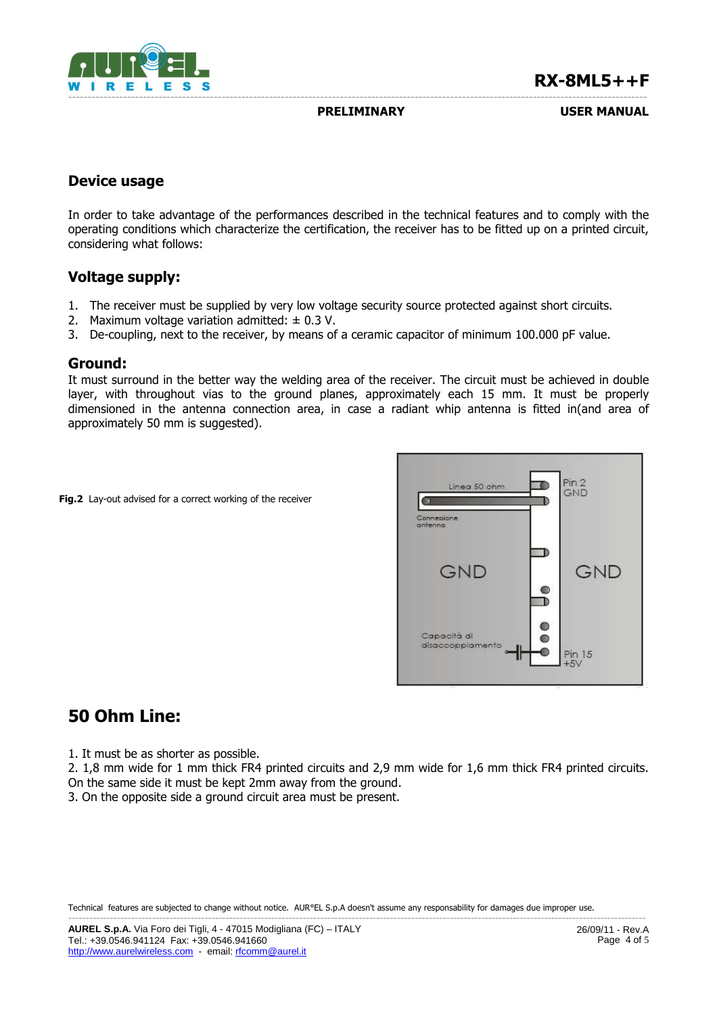

**PRELIMINARY USER MANUAL**

## **Device usage**

In order to take advantage of the performances described in the technical features and to comply with the operating conditions which characterize the certification, the receiver has to be fitted up on a printed circuit, considering what follows:

## **Voltage supply:**

- 1. The receiver must be supplied by very low voltage security source protected against short circuits.
- 2. Maximum voltage variation admitted:  $\pm$  0.3 V.
- 3. De-coupling, next to the receiver, by means of a ceramic capacitor of minimum 100.000 pF value.

## **Ground:**

It must surround in the better way the welding area of the receiver. The circuit must be achieved in double layer, with throughout vias to the ground planes, approximately each 15 mm. It must be properly dimensioned in the antenna connection area, in case a radiant whip antenna is fitted in(and area of approximately 50 mm is suggested).

**Fig.2** Lay-out advised for a correct working of the receiver



# **50 Ohm Line:**

1. It must be as shorter as possible.

2. 1,8 mm wide for 1 mm thick FR4 printed circuits and 2,9 mm wide for 1,6 mm thick FR4 printed circuits. On the same side it must be kept 2mm away from the ground.

3. On the opposite side a ground circuit area must be present.